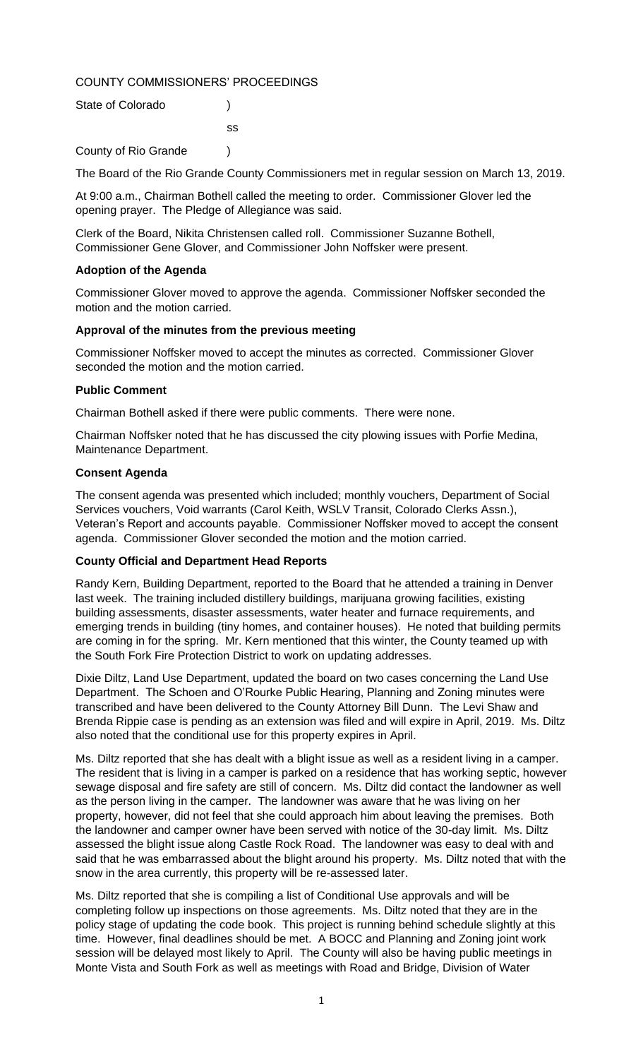# COUNTY COMMISSIONERS' PROCEEDINGS

| State of Colorado    |     |
|----------------------|-----|
|                      | SS. |
| County of Rio Grande |     |

The Board of the Rio Grande County Commissioners met in regular session on March 13, 2019.

At 9:00 a.m., Chairman Bothell called the meeting to order. Commissioner Glover led the opening prayer. The Pledge of Allegiance was said.

Clerk of the Board, Nikita Christensen called roll. Commissioner Suzanne Bothell, Commissioner Gene Glover, and Commissioner John Noffsker were present.

## **Adoption of the Agenda**

Commissioner Glover moved to approve the agenda. Commissioner Noffsker seconded the motion and the motion carried.

### **Approval of the minutes from the previous meeting**

Commissioner Noffsker moved to accept the minutes as corrected. Commissioner Glover seconded the motion and the motion carried.

### **Public Comment**

Chairman Bothell asked if there were public comments. There were none.

Chairman Noffsker noted that he has discussed the city plowing issues with Porfie Medina, Maintenance Department.

### **Consent Agenda**

The consent agenda was presented which included; monthly vouchers, Department of Social Services vouchers, Void warrants (Carol Keith, WSLV Transit, Colorado Clerks Assn.), Veteran's Report and accounts payable. Commissioner Noffsker moved to accept the consent agenda. Commissioner Glover seconded the motion and the motion carried.

## **County Official and Department Head Reports**

Randy Kern, Building Department, reported to the Board that he attended a training in Denver last week. The training included distillery buildings, marijuana growing facilities, existing building assessments, disaster assessments, water heater and furnace requirements, and emerging trends in building (tiny homes, and container houses). He noted that building permits are coming in for the spring. Mr. Kern mentioned that this winter, the County teamed up with the South Fork Fire Protection District to work on updating addresses.

Dixie Diltz, Land Use Department, updated the board on two cases concerning the Land Use Department. The Schoen and O'Rourke Public Hearing, Planning and Zoning minutes were transcribed and have been delivered to the County Attorney Bill Dunn. The Levi Shaw and Brenda Rippie case is pending as an extension was filed and will expire in April, 2019. Ms. Diltz also noted that the conditional use for this property expires in April.

Ms. Diltz reported that she has dealt with a blight issue as well as a resident living in a camper. The resident that is living in a camper is parked on a residence that has working septic, however sewage disposal and fire safety are still of concern. Ms. Diltz did contact the landowner as well as the person living in the camper. The landowner was aware that he was living on her property, however, did not feel that she could approach him about leaving the premises. Both the landowner and camper owner have been served with notice of the 30-day limit. Ms. Diltz assessed the blight issue along Castle Rock Road. The landowner was easy to deal with and said that he was embarrassed about the blight around his property. Ms. Diltz noted that with the snow in the area currently, this property will be re-assessed later.

Ms. Diltz reported that she is compiling a list of Conditional Use approvals and will be completing follow up inspections on those agreements. Ms. Diltz noted that they are in the policy stage of updating the code book. This project is running behind schedule slightly at this time. However, final deadlines should be met. A BOCC and Planning and Zoning joint work session will be delayed most likely to April. The County will also be having public meetings in Monte Vista and South Fork as well as meetings with Road and Bridge, Division of Water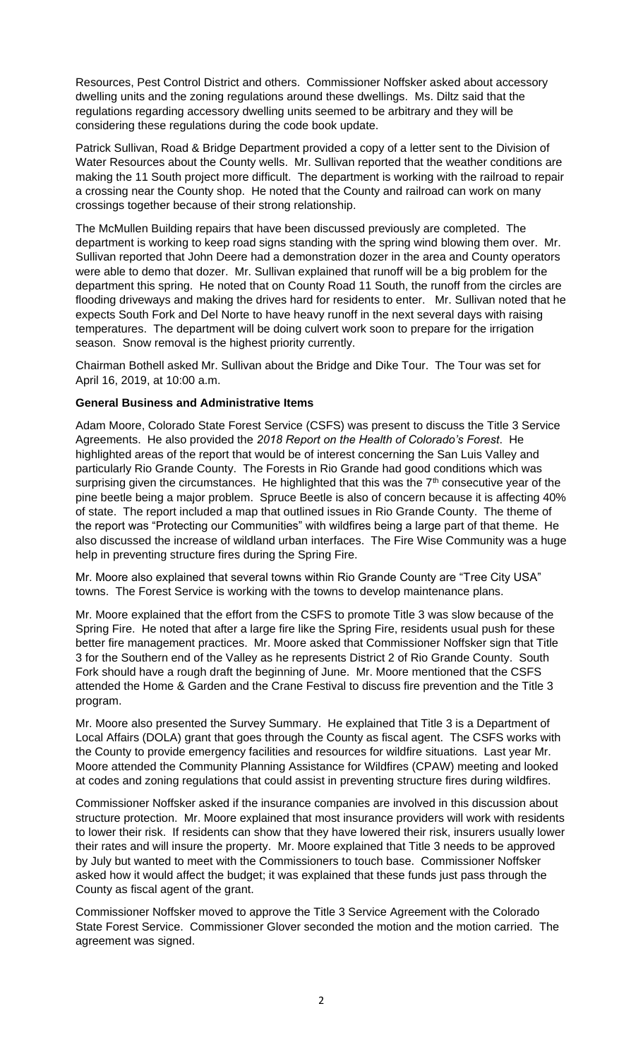Resources, Pest Control District and others. Commissioner Noffsker asked about accessory dwelling units and the zoning regulations around these dwellings. Ms. Diltz said that the regulations regarding accessory dwelling units seemed to be arbitrary and they will be considering these regulations during the code book update.

Patrick Sullivan, Road & Bridge Department provided a copy of a letter sent to the Division of Water Resources about the County wells. Mr. Sullivan reported that the weather conditions are making the 11 South project more difficult. The department is working with the railroad to repair a crossing near the County shop. He noted that the County and railroad can work on many crossings together because of their strong relationship.

The McMullen Building repairs that have been discussed previously are completed. The department is working to keep road signs standing with the spring wind blowing them over. Mr. Sullivan reported that John Deere had a demonstration dozer in the area and County operators were able to demo that dozer. Mr. Sullivan explained that runoff will be a big problem for the department this spring. He noted that on County Road 11 South, the runoff from the circles are flooding driveways and making the drives hard for residents to enter. Mr. Sullivan noted that he expects South Fork and Del Norte to have heavy runoff in the next several days with raising temperatures. The department will be doing culvert work soon to prepare for the irrigation season. Snow removal is the highest priority currently.

Chairman Bothell asked Mr. Sullivan about the Bridge and Dike Tour. The Tour was set for April 16, 2019, at 10:00 a.m.

## **General Business and Administrative Items**

Adam Moore, Colorado State Forest Service (CSFS) was present to discuss the Title 3 Service Agreements. He also provided the *2018 Report on the Health of Colorado's Forest*. He highlighted areas of the report that would be of interest concerning the San Luis Valley and particularly Rio Grande County. The Forests in Rio Grande had good conditions which was surprising given the circumstances. He highlighted that this was the 7<sup>th</sup> consecutive year of the pine beetle being a major problem. Spruce Beetle is also of concern because it is affecting 40% of state. The report included a map that outlined issues in Rio Grande County. The theme of the report was "Protecting our Communities" with wildfires being a large part of that theme. He also discussed the increase of wildland urban interfaces. The Fire Wise Community was a huge help in preventing structure fires during the Spring Fire.

Mr. Moore also explained that several towns within Rio Grande County are "Tree City USA" towns. The Forest Service is working with the towns to develop maintenance plans.

Mr. Moore explained that the effort from the CSFS to promote Title 3 was slow because of the Spring Fire. He noted that after a large fire like the Spring Fire, residents usual push for these better fire management practices. Mr. Moore asked that Commissioner Noffsker sign that Title 3 for the Southern end of the Valley as he represents District 2 of Rio Grande County. South Fork should have a rough draft the beginning of June. Mr. Moore mentioned that the CSFS attended the Home & Garden and the Crane Festival to discuss fire prevention and the Title 3 program.

Mr. Moore also presented the Survey Summary. He explained that Title 3 is a Department of Local Affairs (DOLA) grant that goes through the County as fiscal agent. The CSFS works with the County to provide emergency facilities and resources for wildfire situations. Last year Mr. Moore attended the Community Planning Assistance for Wildfires (CPAW) meeting and looked at codes and zoning regulations that could assist in preventing structure fires during wildfires.

Commissioner Noffsker asked if the insurance companies are involved in this discussion about structure protection. Mr. Moore explained that most insurance providers will work with residents to lower their risk. If residents can show that they have lowered their risk, insurers usually lower their rates and will insure the property. Mr. Moore explained that Title 3 needs to be approved by July but wanted to meet with the Commissioners to touch base. Commissioner Noffsker asked how it would affect the budget; it was explained that these funds just pass through the County as fiscal agent of the grant.

Commissioner Noffsker moved to approve the Title 3 Service Agreement with the Colorado State Forest Service. Commissioner Glover seconded the motion and the motion carried. The agreement was signed.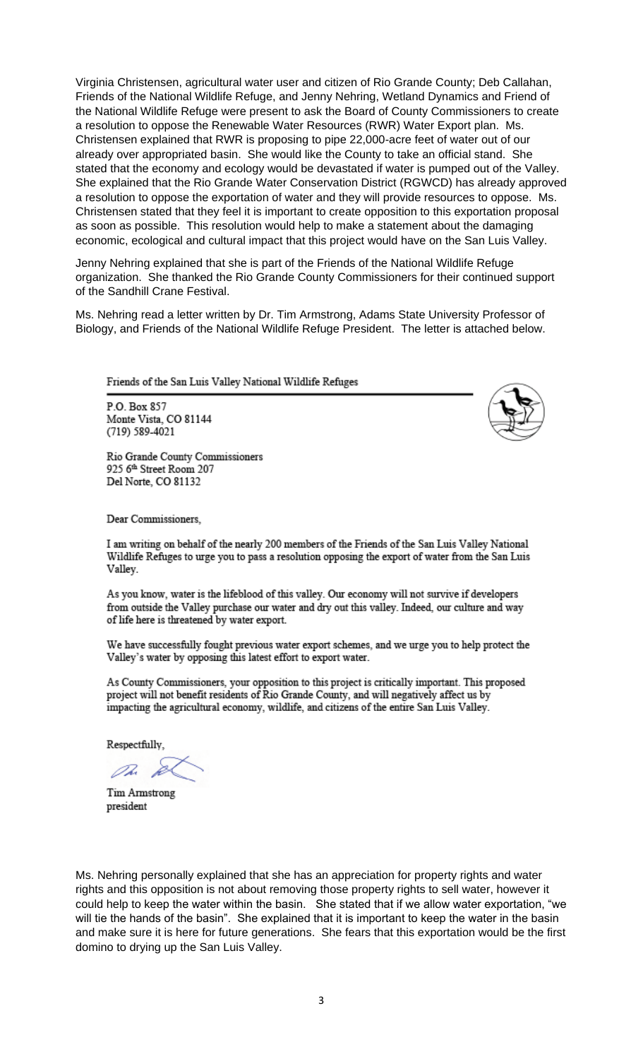Virginia Christensen, agricultural water user and citizen of Rio Grande County; Deb Callahan, Friends of the National Wildlife Refuge, and Jenny Nehring, Wetland Dynamics and Friend of the National Wildlife Refuge were present to ask the Board of County Commissioners to create a resolution to oppose the Renewable Water Resources (RWR) Water Export plan. Ms. Christensen explained that RWR is proposing to pipe 22,000-acre feet of water out of our already over appropriated basin. She would like the County to take an official stand. She stated that the economy and ecology would be devastated if water is pumped out of the Valley. She explained that the Rio Grande Water Conservation District (RGWCD) has already approved a resolution to oppose the exportation of water and they will provide resources to oppose. Ms. Christensen stated that they feel it is important to create opposition to this exportation proposal as soon as possible. This resolution would help to make a statement about the damaging economic, ecological and cultural impact that this project would have on the San Luis Valley.

Jenny Nehring explained that she is part of the Friends of the National Wildlife Refuge organization. She thanked the Rio Grande County Commissioners for their continued support of the Sandhill Crane Festival.

Ms. Nehring read a letter written by Dr. Tim Armstrong, Adams State University Professor of Biology, and Friends of the National Wildlife Refuge President. The letter is attached below.

Friends of the San Luis Valley National Wildlife Refuges

P.O. Box 857 Monte Vista, CO 81144 (719) 589-4021

Rio Grande County Commissioners 925 6th Street Room 207 Del Norte, CO 81132

Dear Commissioners,

I am writing on behalf of the nearly 200 members of the Friends of the San Luis Valley National Wildlife Refuges to urge you to pass a resolution opposing the export of water from the San Luis Valley.

As you know, water is the lifeblood of this valley. Our economy will not survive if developers from outside the Valley purchase our water and dry out this valley. Indeed, our culture and way of life here is threatened by water export.

We have successfully fought previous water export schemes, and we urge you to help protect the Valley's water by opposing this latest effort to export water.

As County Commissioners, your opposition to this project is critically important. This proposed project will not benefit residents of Rio Grande County, and will negatively affect us by impacting the agricultural economy, wildlife, and citizens of the entire San Luis Valley.

Respectfully.

Tim Armstrong president

Ms. Nehring personally explained that she has an appreciation for property rights and water rights and this opposition is not about removing those property rights to sell water, however it could help to keep the water within the basin. She stated that if we allow water exportation, "we will tie the hands of the basin". She explained that it is important to keep the water in the basin and make sure it is here for future generations. She fears that this exportation would be the first domino to drying up the San Luis Valley.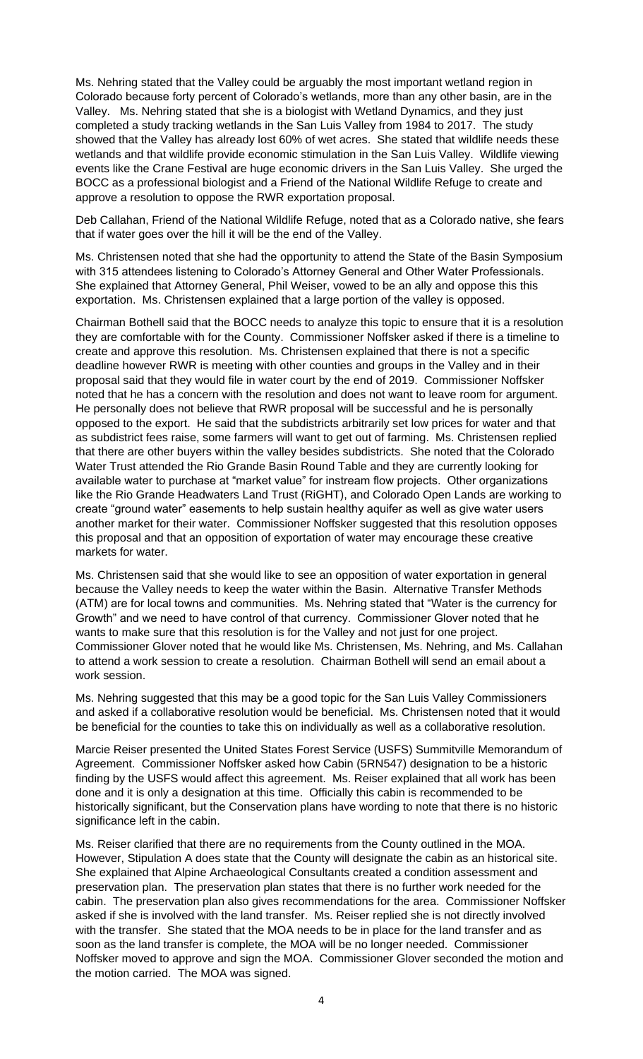Ms. Nehring stated that the Valley could be arguably the most important wetland region in Colorado because forty percent of Colorado's wetlands, more than any other basin, are in the Valley. Ms. Nehring stated that she is a biologist with Wetland Dynamics, and they just completed a study tracking wetlands in the San Luis Valley from 1984 to 2017. The study showed that the Valley has already lost 60% of wet acres. She stated that wildlife needs these wetlands and that wildlife provide economic stimulation in the San Luis Valley. Wildlife viewing events like the Crane Festival are huge economic drivers in the San Luis Valley. She urged the BOCC as a professional biologist and a Friend of the National Wildlife Refuge to create and approve a resolution to oppose the RWR exportation proposal.

Deb Callahan, Friend of the National Wildlife Refuge, noted that as a Colorado native, she fears that if water goes over the hill it will be the end of the Valley.

Ms. Christensen noted that she had the opportunity to attend the State of the Basin Symposium with 315 attendees listening to Colorado's Attorney General and Other Water Professionals. She explained that Attorney General, Phil Weiser, vowed to be an ally and oppose this this exportation. Ms. Christensen explained that a large portion of the valley is opposed.

Chairman Bothell said that the BOCC needs to analyze this topic to ensure that it is a resolution they are comfortable with for the County. Commissioner Noffsker asked if there is a timeline to create and approve this resolution. Ms. Christensen explained that there is not a specific deadline however RWR is meeting with other counties and groups in the Valley and in their proposal said that they would file in water court by the end of 2019. Commissioner Noffsker noted that he has a concern with the resolution and does not want to leave room for argument. He personally does not believe that RWR proposal will be successful and he is personally opposed to the export. He said that the subdistricts arbitrarily set low prices for water and that as subdistrict fees raise, some farmers will want to get out of farming. Ms. Christensen replied that there are other buyers within the valley besides subdistricts. She noted that the Colorado Water Trust attended the Rio Grande Basin Round Table and they are currently looking for available water to purchase at "market value" for instream flow projects. Other organizations like the Rio Grande Headwaters Land Trust (RiGHT), and Colorado Open Lands are working to create "ground water" easements to help sustain healthy aquifer as well as give water users another market for their water. Commissioner Noffsker suggested that this resolution opposes this proposal and that an opposition of exportation of water may encourage these creative markets for water.

Ms. Christensen said that she would like to see an opposition of water exportation in general because the Valley needs to keep the water within the Basin. Alternative Transfer Methods (ATM) are for local towns and communities. Ms. Nehring stated that "Water is the currency for Growth" and we need to have control of that currency. Commissioner Glover noted that he wants to make sure that this resolution is for the Valley and not just for one project. Commissioner Glover noted that he would like Ms. Christensen, Ms. Nehring, and Ms. Callahan to attend a work session to create a resolution. Chairman Bothell will send an email about a work session.

Ms. Nehring suggested that this may be a good topic for the San Luis Valley Commissioners and asked if a collaborative resolution would be beneficial. Ms. Christensen noted that it would be beneficial for the counties to take this on individually as well as a collaborative resolution.

Marcie Reiser presented the United States Forest Service (USFS) Summitville Memorandum of Agreement. Commissioner Noffsker asked how Cabin (5RN547) designation to be a historic finding by the USFS would affect this agreement. Ms. Reiser explained that all work has been done and it is only a designation at this time. Officially this cabin is recommended to be historically significant, but the Conservation plans have wording to note that there is no historic significance left in the cabin.

Ms. Reiser clarified that there are no requirements from the County outlined in the MOA. However, Stipulation A does state that the County will designate the cabin as an historical site. She explained that Alpine Archaeological Consultants created a condition assessment and preservation plan. The preservation plan states that there is no further work needed for the cabin. The preservation plan also gives recommendations for the area. Commissioner Noffsker asked if she is involved with the land transfer. Ms. Reiser replied she is not directly involved with the transfer. She stated that the MOA needs to be in place for the land transfer and as soon as the land transfer is complete, the MOA will be no longer needed. Commissioner Noffsker moved to approve and sign the MOA. Commissioner Glover seconded the motion and the motion carried. The MOA was signed.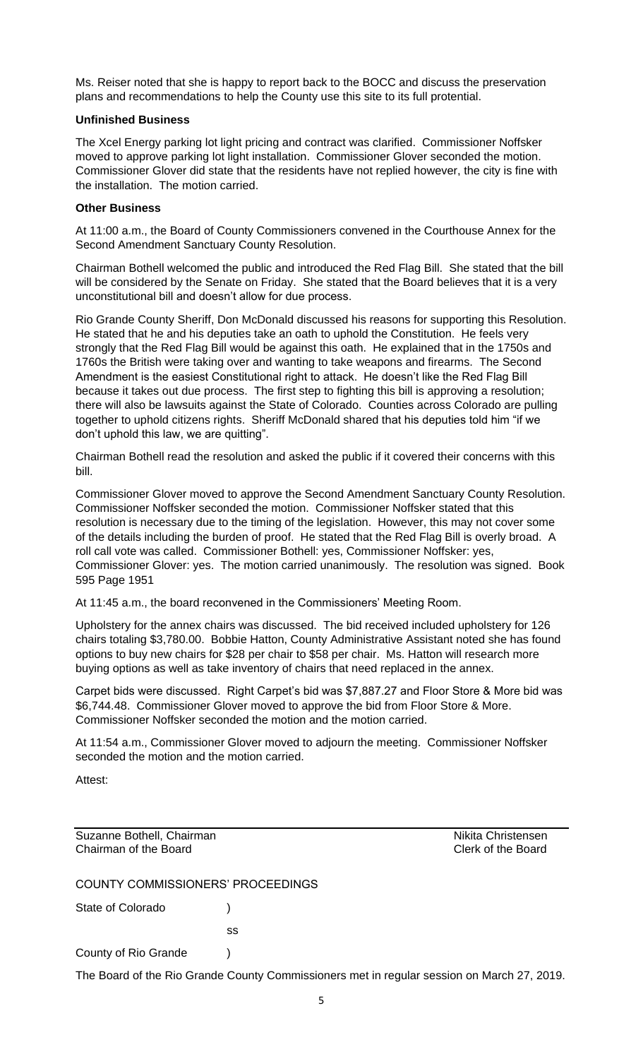Ms. Reiser noted that she is happy to report back to the BOCC and discuss the preservation plans and recommendations to help the County use this site to its full protential.

## **Unfinished Business**

The Xcel Energy parking lot light pricing and contract was clarified. Commissioner Noffsker moved to approve parking lot light installation. Commissioner Glover seconded the motion. Commissioner Glover did state that the residents have not replied however, the city is fine with the installation. The motion carried.

## **Other Business**

At 11:00 a.m., the Board of County Commissioners convened in the Courthouse Annex for the Second Amendment Sanctuary County Resolution.

Chairman Bothell welcomed the public and introduced the Red Flag Bill. She stated that the bill will be considered by the Senate on Friday. She stated that the Board believes that it is a very unconstitutional bill and doesn't allow for due process.

Rio Grande County Sheriff, Don McDonald discussed his reasons for supporting this Resolution. He stated that he and his deputies take an oath to uphold the Constitution. He feels very strongly that the Red Flag Bill would be against this oath. He explained that in the 1750s and 1760s the British were taking over and wanting to take weapons and firearms. The Second Amendment is the easiest Constitutional right to attack. He doesn't like the Red Flag Bill because it takes out due process. The first step to fighting this bill is approving a resolution; there will also be lawsuits against the State of Colorado. Counties across Colorado are pulling together to uphold citizens rights. Sheriff McDonald shared that his deputies told him "if we don't uphold this law, we are quitting".

Chairman Bothell read the resolution and asked the public if it covered their concerns with this bill.

Commissioner Glover moved to approve the Second Amendment Sanctuary County Resolution. Commissioner Noffsker seconded the motion. Commissioner Noffsker stated that this resolution is necessary due to the timing of the legislation. However, this may not cover some of the details including the burden of proof. He stated that the Red Flag Bill is overly broad. A roll call vote was called. Commissioner Bothell: yes, Commissioner Noffsker: yes, Commissioner Glover: yes. The motion carried unanimously. The resolution was signed. Book 595 Page 1951

At 11:45 a.m., the board reconvened in the Commissioners' Meeting Room.

Upholstery for the annex chairs was discussed. The bid received included upholstery for 126 chairs totaling \$3,780.00. Bobbie Hatton, County Administrative Assistant noted she has found options to buy new chairs for \$28 per chair to \$58 per chair. Ms. Hatton will research more buying options as well as take inventory of chairs that need replaced in the annex.

Carpet bids were discussed. Right Carpet's bid was \$7,887.27 and Floor Store & More bid was \$6,744.48. Commissioner Glover moved to approve the bid from Floor Store & More. Commissioner Noffsker seconded the motion and the motion carried.

At 11:54 a.m., Commissioner Glover moved to adjourn the meeting. Commissioner Noffsker seconded the motion and the motion carried.

Attest:

Suzanne Bothell, Chairman Nikita Christensen<br>Chairman of the Board<br>Clerk of the Board Chairman of the Board

COUNTY COMMISSIONERS' PROCEEDINGS

State of Colorado (a)

ss

County of Rio Grande )

The Board of the Rio Grande County Commissioners met in regular session on March 27, 2019.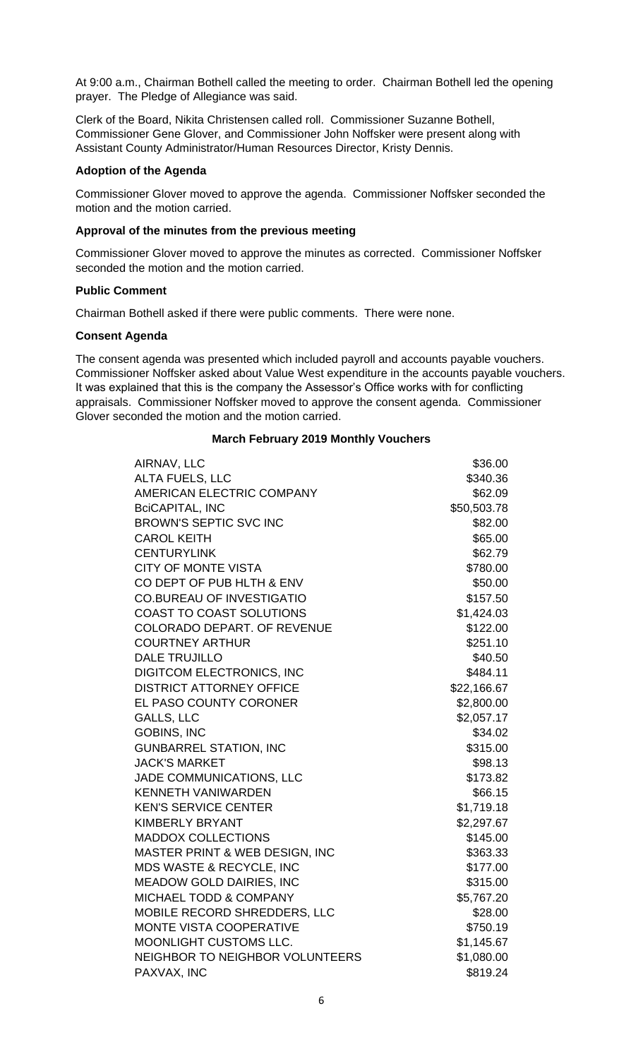At 9:00 a.m., Chairman Bothell called the meeting to order. Chairman Bothell led the opening prayer. The Pledge of Allegiance was said.

Clerk of the Board, Nikita Christensen called roll. Commissioner Suzanne Bothell, Commissioner Gene Glover, and Commissioner John Noffsker were present along with Assistant County Administrator/Human Resources Director, Kristy Dennis.

## **Adoption of the Agenda**

Commissioner Glover moved to approve the agenda. Commissioner Noffsker seconded the motion and the motion carried.

### **Approval of the minutes from the previous meeting**

Commissioner Glover moved to approve the minutes as corrected. Commissioner Noffsker seconded the motion and the motion carried.

## **Public Comment**

Chairman Bothell asked if there were public comments. There were none.

#### **Consent Agenda**

The consent agenda was presented which included payroll and accounts payable vouchers. Commissioner Noffsker asked about Value West expenditure in the accounts payable vouchers. It was explained that this is the company the Assessor's Office works with for conflicting appraisals. Commissioner Noffsker moved to approve the consent agenda. Commissioner Glover seconded the motion and the motion carried.

## **March February 2019 Monthly Vouchers**

| AIRNAV, LLC                       | \$36.00     |
|-----------------------------------|-------------|
| ALTA FUELS, LLC                   | \$340.36    |
| AMERICAN ELECTRIC COMPANY         | \$62.09     |
| <b>BciCAPITAL, INC</b>            | \$50,503.78 |
| <b>BROWN'S SEPTIC SVC INC</b>     | \$82.00     |
| <b>CAROL KEITH</b>                | \$65.00     |
| <b>CENTURYLINK</b>                | \$62.79     |
| <b>CITY OF MONTE VISTA</b>        | \$780.00    |
| CO DEPT OF PUB HLTH & ENV         | \$50.00     |
| <b>CO.BUREAU OF INVESTIGATIO</b>  | \$157.50    |
| COAST TO COAST SOLUTIONS          | \$1,424.03  |
| COLORADO DEPART. OF REVENUE       | \$122.00    |
| <b>COURTNEY ARTHUR</b>            | \$251.10    |
| <b>DALE TRUJILLO</b>              | \$40.50     |
| <b>DIGITCOM ELECTRONICS, INC</b>  | \$484.11    |
| <b>DISTRICT ATTORNEY OFFICE</b>   | \$22,166.67 |
| EL PASO COUNTY CORONER            | \$2,800.00  |
| <b>GALLS, LLC</b>                 | \$2,057.17  |
| <b>GOBINS, INC</b>                | \$34.02     |
| <b>GUNBARREL STATION, INC</b>     | \$315.00    |
| <b>JACK'S MARKET</b>              | \$98.13     |
| JADE COMMUNICATIONS, LLC          | \$173.82    |
| <b>KENNETH VANIWARDEN</b>         | \$66.15     |
| <b>KEN'S SERVICE CENTER</b>       | \$1,719.18  |
| <b>KIMBERLY BRYANT</b>            | \$2,297.67  |
| <b>MADDOX COLLECTIONS</b>         | \$145.00    |
| MASTER PRINT & WEB DESIGN, INC    | \$363.33    |
| MDS WASTE & RECYCLE, INC          | \$177.00    |
| <b>MEADOW GOLD DAIRIES, INC</b>   | \$315.00    |
| <b>MICHAEL TODD &amp; COMPANY</b> | \$5,767.20  |
| MOBILE RECORD SHREDDERS, LLC      | \$28.00     |
| <b>MONTE VISTA COOPERATIVE</b>    | \$750.19    |
| MOONLIGHT CUSTOMS LLC.            | \$1,145.67  |
| NEIGHBOR TO NEIGHBOR VOLUNTEERS   | \$1,080.00  |
| PAXVAX, INC                       | \$819.24    |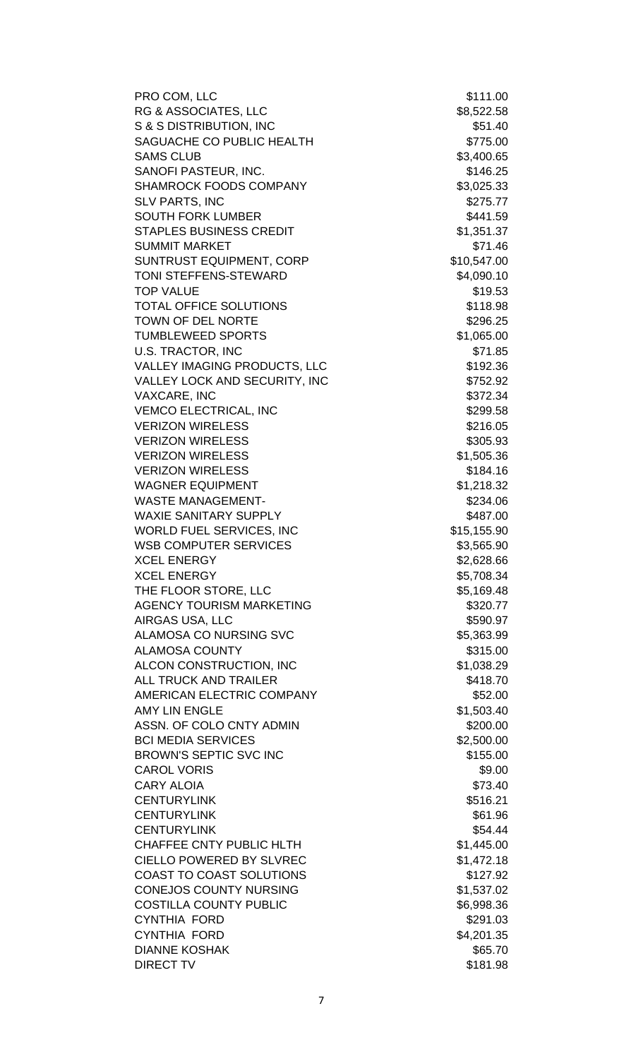| PRO COM, LLC                                                   | \$111.00            |
|----------------------------------------------------------------|---------------------|
| RG & ASSOCIATES, LLC                                           | \$8,522.58          |
| S & S DISTRIBUTION, INC                                        | \$51.40             |
| SAGUACHE CO PUBLIC HEALTH                                      | \$775.00            |
| <b>SAMS CLUB</b>                                               | \$3,400.65          |
| SANOFI PASTEUR, INC.                                           | \$146.25            |
| SHAMROCK FOODS COMPANY                                         | \$3,025.33          |
| <b>SLV PARTS, INC</b>                                          | \$275.77            |
| <b>SOUTH FORK LUMBER</b>                                       | \$441.59            |
| <b>STAPLES BUSINESS CREDIT</b>                                 | \$1,351.37          |
| <b>SUMMIT MARKET</b>                                           | \$71.46             |
| SUNTRUST EQUIPMENT, CORP                                       | \$10,547.00         |
| TONI STEFFENS-STEWARD                                          | \$4,090.10          |
| <b>TOP VALUE</b>                                               | \$19.53             |
| <b>TOTAL OFFICE SOLUTIONS</b>                                  | \$118.98            |
| TOWN OF DEL NORTE                                              | \$296.25            |
| <b>TUMBLEWEED SPORTS</b>                                       | \$1,065.00          |
| <b>U.S. TRACTOR, INC</b>                                       | \$71.85             |
| <b>VALLEY IMAGING PRODUCTS, LLC</b>                            | \$192.36            |
| VALLEY LOCK AND SECURITY, INC                                  | \$752.92            |
| VAXCARE, INC                                                   | \$372.34            |
| <b>VEMCO ELECTRICAL, INC</b>                                   | \$299.58            |
| <b>VERIZON WIRELESS</b>                                        | \$216.05            |
| <b>VERIZON WIRELESS</b>                                        | \$305.93            |
| <b>VERIZON WIRELESS</b>                                        | \$1,505.36          |
| <b>VERIZON WIRELESS</b>                                        | \$184.16            |
| <b>WAGNER EQUIPMENT</b>                                        | \$1,218.32          |
| <b>WASTE MANAGEMENT-</b>                                       | \$234.06            |
| <b>WAXIE SANITARY SUPPLY</b>                                   | \$487.00            |
| WORLD FUEL SERVICES, INC                                       | \$15,155.90         |
| <b>WSB COMPUTER SERVICES</b>                                   | \$3,565.90          |
| <b>XCEL ENERGY</b>                                             | \$2,628.66          |
| <b>XCEL ENERGY</b>                                             | \$5,708.34          |
| THE FLOOR STORE, LLC                                           | \$5,169.48          |
| <b>AGENCY TOURISM MARKETING</b>                                | \$320.77            |
| AIRGAS USA, LLC                                                | \$590.97            |
| ALAMOSA CO NURSING SVC                                         | \$5,363.99          |
| <b>ALAMOSA COUNTY</b>                                          | \$315.00            |
| ALCON CONSTRUCTION, INC                                        | \$1,038.29          |
| <b>ALL TRUCK AND TRAILER</b>                                   | \$418.70            |
| AMERICAN ELECTRIC COMPANY                                      | \$52.00             |
| <b>AMY LIN ENGLE</b>                                           | \$1,503.40          |
| ASSN. OF COLO CNTY ADMIN                                       | \$200.00            |
| <b>BCI MEDIA SERVICES</b>                                      | \$2,500.00          |
| <b>BROWN'S SEPTIC SVC INC</b>                                  | \$155.00            |
| <b>CAROL VORIS</b>                                             | \$9.00              |
| <b>CARY ALOIA</b>                                              | \$73.40             |
| <b>CENTURYLINK</b>                                             | \$516.21            |
| <b>CENTURYLINK</b>                                             | \$61.96             |
| <b>CENTURYLINK</b>                                             |                     |
| CHAFFEE CNTY PUBLIC HLTH                                       | \$54.44             |
| <b>CIELLO POWERED BY SLVREC</b>                                | \$1,445.00          |
| COAST TO COAST SOLUTIONS                                       | \$1,472.18          |
|                                                                | \$127.92            |
| <b>CONEJOS COUNTY NURSING</b><br><b>COSTILLA COUNTY PUBLIC</b> | \$1,537.02          |
|                                                                | \$6,998.36          |
| <b>CYNTHIA FORD</b>                                            | \$291.03            |
| <b>CYNTHIA FORD</b>                                            | \$4,201.35          |
| <b>DIANNE KOSHAK</b><br><b>DIRECT TV</b>                       | \$65.70<br>\$181.98 |
|                                                                |                     |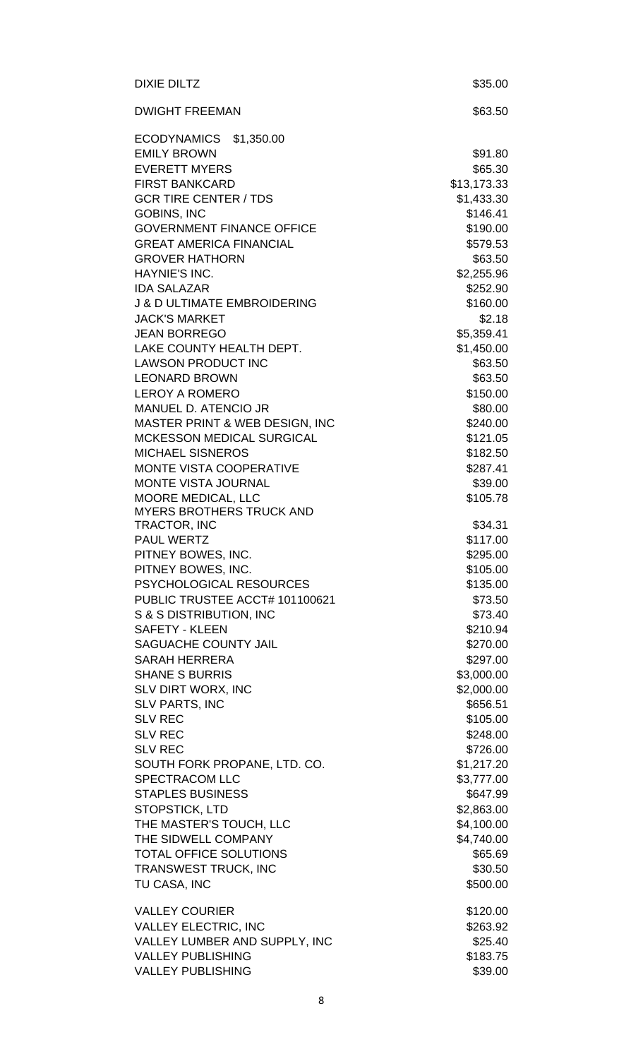| <b>DIXIE DILTZ</b>                                                 | \$35.00                  |
|--------------------------------------------------------------------|--------------------------|
| <b>DWIGHT FREEMAN</b>                                              | \$63.50                  |
| ECODYNAMICS \$1,350.00                                             |                          |
| <b>EMILY BROWN</b>                                                 | \$91.80                  |
| <b>EVERETT MYERS</b>                                               | \$65.30                  |
| <b>FIRST BANKCARD</b>                                              | \$13,173.33              |
| <b>GCR TIRE CENTER / TDS</b>                                       | \$1,433.30               |
| <b>GOBINS, INC</b>                                                 | \$146.41                 |
| <b>GOVERNMENT FINANCE OFFICE</b>                                   | \$190.00                 |
| <b>GREAT AMERICA FINANCIAL</b>                                     | \$579.53                 |
| <b>GROVER HATHORN</b>                                              | \$63.50                  |
| <b>HAYNIE'S INC.</b>                                               | \$2,255.96               |
| <b>IDA SALAZAR</b>                                                 | \$252.90                 |
| <b>J &amp; D ULTIMATE EMBROIDERING</b>                             | \$160.00                 |
| <b>JACK'S MARKET</b>                                               | \$2.18                   |
| <b>JEAN BORREGO</b>                                                | \$5,359.41               |
| LAKE COUNTY HEALTH DEPT.                                           | \$1,450.00               |
| <b>LAWSON PRODUCT INC</b>                                          | \$63.50                  |
| <b>LEONARD BROWN</b>                                               | \$63.50                  |
| <b>LEROY A ROMERO</b>                                              | \$150.00                 |
| MANUEL D. ATENCIO JR                                               | \$80.00                  |
| MASTER PRINT & WEB DESIGN, INC<br><b>MCKESSON MEDICAL SURGICAL</b> | \$240.00<br>\$121.05     |
| <b>MICHAEL SISNEROS</b>                                            | \$182.50                 |
| <b>MONTE VISTA COOPERATIVE</b>                                     | \$287.41                 |
| <b>MONTE VISTA JOURNAL</b>                                         | \$39.00                  |
| MOORE MEDICAL, LLC                                                 | \$105.78                 |
| <b>MYERS BROTHERS TRUCK AND</b>                                    |                          |
| TRACTOR, INC                                                       | \$34.31                  |
| <b>PAUL WERTZ</b>                                                  | \$117.00                 |
| PITNEY BOWES, INC.                                                 | \$295.00                 |
| PITNEY BOWES, INC.                                                 | \$105.00                 |
| PSYCHOLOGICAL RESOURCES                                            | \$135.00                 |
| PUBLIC TRUSTEE ACCT# 101100621                                     | \$73.50                  |
| S & S DISTRIBUTION, INC                                            | \$73.40                  |
| <b>SAFETY - KLEEN</b>                                              | \$210.94                 |
| SAGUACHE COUNTY JAIL                                               | \$270.00                 |
| <b>SARAH HERRERA</b>                                               | \$297.00                 |
| <b>SHANE S BURRIS</b>                                              | \$3,000.00               |
| SLV DIRT WORX, INC                                                 | \$2,000.00               |
| <b>SLV PARTS, INC</b>                                              | \$656.51                 |
| <b>SLV REC</b>                                                     | \$105.00                 |
| <b>SLV REC</b>                                                     | \$248.00                 |
| <b>SLV REC</b>                                                     | \$726.00                 |
| SOUTH FORK PROPANE, LTD. CO.                                       | \$1,217.20               |
| <b>SPECTRACOM LLC</b>                                              | \$3,777.00               |
| <b>STAPLES BUSINESS</b>                                            | \$647.99                 |
| <b>STOPSTICK, LTD</b>                                              | \$2,863.00               |
| THE MASTER'S TOUCH, LLC<br>THE SIDWELL COMPANY                     | \$4,100.00<br>\$4,740.00 |
| <b>TOTAL OFFICE SOLUTIONS</b>                                      | \$65.69                  |
| <b>TRANSWEST TRUCK, INC</b>                                        | \$30.50                  |
| TU CASA, INC                                                       | \$500.00                 |
|                                                                    |                          |
| <b>VALLEY COURIER</b>                                              | \$120.00                 |
| <b>VALLEY ELECTRIC, INC</b>                                        | \$263.92                 |
| VALLEY LUMBER AND SUPPLY, INC                                      | \$25.40                  |
| <b>VALLEY PUBLISHING</b>                                           | \$183.75                 |
| <b>VALLEY PUBLISHING</b>                                           | \$39.00                  |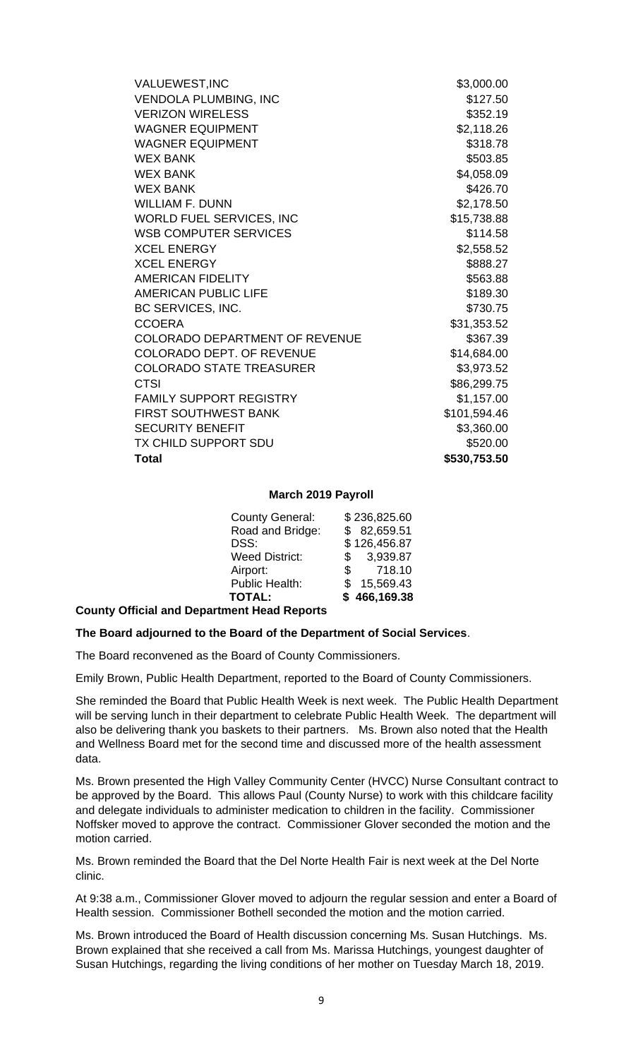| VALUEWEST, INC                        | \$3,000.00   |
|---------------------------------------|--------------|
| <b>VENDOLA PLUMBING, INC</b>          | \$127.50     |
| <b>VERIZON WIRELESS</b>               | \$352.19     |
| WAGNER EQUIPMENT                      | \$2,118.26   |
| WAGNER EQUIPMENT                      | \$318.78     |
| <b>WEX BANK</b>                       | \$503.85     |
| WEX BANK                              | \$4,058.09   |
| <b>WEX BANK</b>                       | \$426.70     |
| WILLIAM F. DUNN                       | \$2,178.50   |
| WORLD FUEL SERVICES, INC              | \$15,738.88  |
| <b>WSB COMPUTER SERVICES</b>          | \$114.58     |
| <b>XCEL ENERGY</b>                    | \$2,558.52   |
| <b>XCEL ENERGY</b>                    | \$888.27     |
| AMERICAN FIDELITY                     | \$563.88     |
| <b>AMERICAN PUBLIC LIFE</b>           | \$189.30     |
| BC SERVICES, INC.                     | \$730.75     |
| CCOERA                                | \$31,353.52  |
| <b>COLORADO DEPARTMENT OF REVENUE</b> | \$367.39     |
| COLORADO DEPT. OF REVENUE             | \$14,684.00  |
| <b>COLORADO STATE TREASURER</b>       | \$3,973.52   |
| <b>CTSI</b>                           | \$86,299.75  |
| <b>FAMILY SUPPORT REGISTRY</b>        | \$1,157.00   |
| FIRST SOUTHWEST BANK                  | \$101,594.46 |
| <b>SECURITY BENEFIT</b>               | \$3,360.00   |
| TX CHILD SUPPORT SDU                  | \$520.00     |
| Total                                 | \$530,753.50 |

#### **March 2019 Payroll**

| <b>County General:</b> |     | \$236,825.60           |
|------------------------|-----|------------------------|
| Road and Bridge:       |     | \$82,659.51            |
| DSS:                   |     | \$126,456.87           |
| <b>Weed District:</b>  | S.  | 3,939.87               |
| Airport:               |     | 718.10<br>$\mathbb{S}$ |
| Public Health:         | \$. | 15,569.43              |
| <b>TOTAL:</b>          |     | \$466,169.38           |
|                        |     |                        |

**County Official and Department Head Reports**

### **The Board adjourned to the Board of the Department of Social Services**.

The Board reconvened as the Board of County Commissioners.

Emily Brown, Public Health Department, reported to the Board of County Commissioners.

She reminded the Board that Public Health Week is next week. The Public Health Department will be serving lunch in their department to celebrate Public Health Week. The department will also be delivering thank you baskets to their partners. Ms. Brown also noted that the Health and Wellness Board met for the second time and discussed more of the health assessment data.

Ms. Brown presented the High Valley Community Center (HVCC) Nurse Consultant contract to be approved by the Board. This allows Paul (County Nurse) to work with this childcare facility and delegate individuals to administer medication to children in the facility. Commissioner Noffsker moved to approve the contract. Commissioner Glover seconded the motion and the motion carried.

Ms. Brown reminded the Board that the Del Norte Health Fair is next week at the Del Norte clinic.

At 9:38 a.m., Commissioner Glover moved to adjourn the regular session and enter a Board of Health session. Commissioner Bothell seconded the motion and the motion carried.

Ms. Brown introduced the Board of Health discussion concerning Ms. Susan Hutchings. Ms. Brown explained that she received a call from Ms. Marissa Hutchings, youngest daughter of Susan Hutchings, regarding the living conditions of her mother on Tuesday March 18, 2019.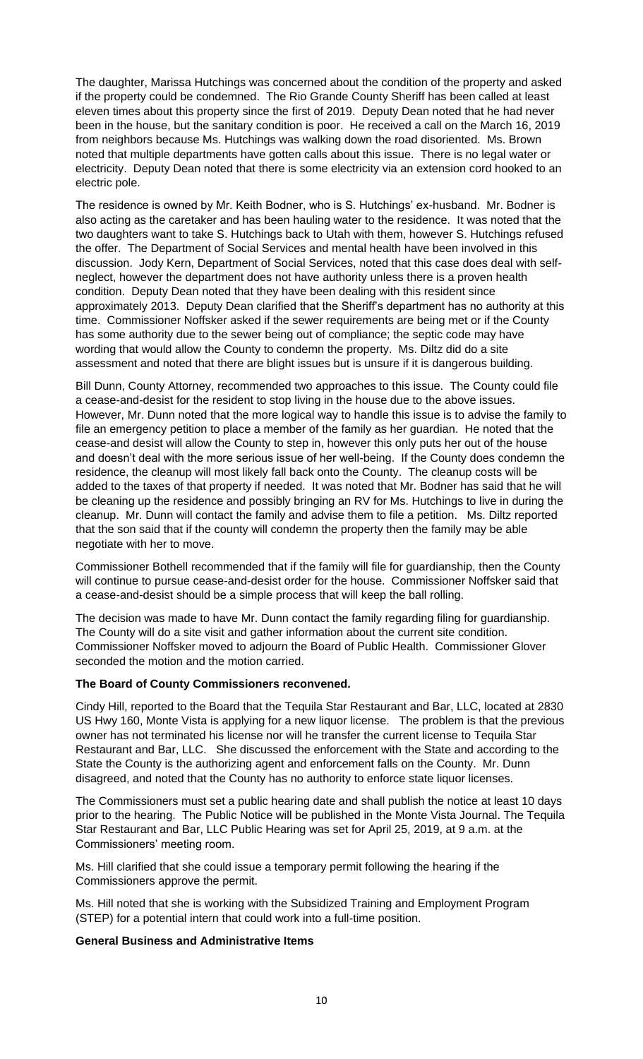The daughter, Marissa Hutchings was concerned about the condition of the property and asked if the property could be condemned. The Rio Grande County Sheriff has been called at least eleven times about this property since the first of 2019. Deputy Dean noted that he had never been in the house, but the sanitary condition is poor. He received a call on the March 16, 2019 from neighbors because Ms. Hutchings was walking down the road disoriented. Ms. Brown noted that multiple departments have gotten calls about this issue. There is no legal water or electricity. Deputy Dean noted that there is some electricity via an extension cord hooked to an electric pole.

The residence is owned by Mr. Keith Bodner, who is S. Hutchings' ex-husband. Mr. Bodner is also acting as the caretaker and has been hauling water to the residence. It was noted that the two daughters want to take S. Hutchings back to Utah with them, however S. Hutchings refused the offer. The Department of Social Services and mental health have been involved in this discussion. Jody Kern, Department of Social Services, noted that this case does deal with selfneglect, however the department does not have authority unless there is a proven health condition. Deputy Dean noted that they have been dealing with this resident since approximately 2013. Deputy Dean clarified that the Sheriff's department has no authority at this time. Commissioner Noffsker asked if the sewer requirements are being met or if the County has some authority due to the sewer being out of compliance; the septic code may have wording that would allow the County to condemn the property. Ms. Diltz did do a site assessment and noted that there are blight issues but is unsure if it is dangerous building.

Bill Dunn, County Attorney, recommended two approaches to this issue. The County could file a cease-and-desist for the resident to stop living in the house due to the above issues. However, Mr. Dunn noted that the more logical way to handle this issue is to advise the family to file an emergency petition to place a member of the family as her guardian. He noted that the cease-and desist will allow the County to step in, however this only puts her out of the house and doesn't deal with the more serious issue of her well-being. If the County does condemn the residence, the cleanup will most likely fall back onto the County. The cleanup costs will be added to the taxes of that property if needed. It was noted that Mr. Bodner has said that he will be cleaning up the residence and possibly bringing an RV for Ms. Hutchings to live in during the cleanup. Mr. Dunn will contact the family and advise them to file a petition. Ms. Diltz reported that the son said that if the county will condemn the property then the family may be able negotiate with her to move.

Commissioner Bothell recommended that if the family will file for guardianship, then the County will continue to pursue cease-and-desist order for the house. Commissioner Noffsker said that a cease-and-desist should be a simple process that will keep the ball rolling.

The decision was made to have Mr. Dunn contact the family regarding filing for guardianship. The County will do a site visit and gather information about the current site condition. Commissioner Noffsker moved to adjourn the Board of Public Health. Commissioner Glover seconded the motion and the motion carried.

## **The Board of County Commissioners reconvened.**

Cindy Hill, reported to the Board that the Tequila Star Restaurant and Bar, LLC, located at 2830 US Hwy 160, Monte Vista is applying for a new liquor license. The problem is that the previous owner has not terminated his license nor will he transfer the current license to Tequila Star Restaurant and Bar, LLC. She discussed the enforcement with the State and according to the State the County is the authorizing agent and enforcement falls on the County. Mr. Dunn disagreed, and noted that the County has no authority to enforce state liquor licenses.

The Commissioners must set a public hearing date and shall publish the notice at least 10 days prior to the hearing. The Public Notice will be published in the Monte Vista Journal. The Tequila Star Restaurant and Bar, LLC Public Hearing was set for April 25, 2019, at 9 a.m. at the Commissioners' meeting room.

Ms. Hill clarified that she could issue a temporary permit following the hearing if the Commissioners approve the permit.

Ms. Hill noted that she is working with the Subsidized Training and Employment Program (STEP) for a potential intern that could work into a full-time position.

#### **General Business and Administrative Items**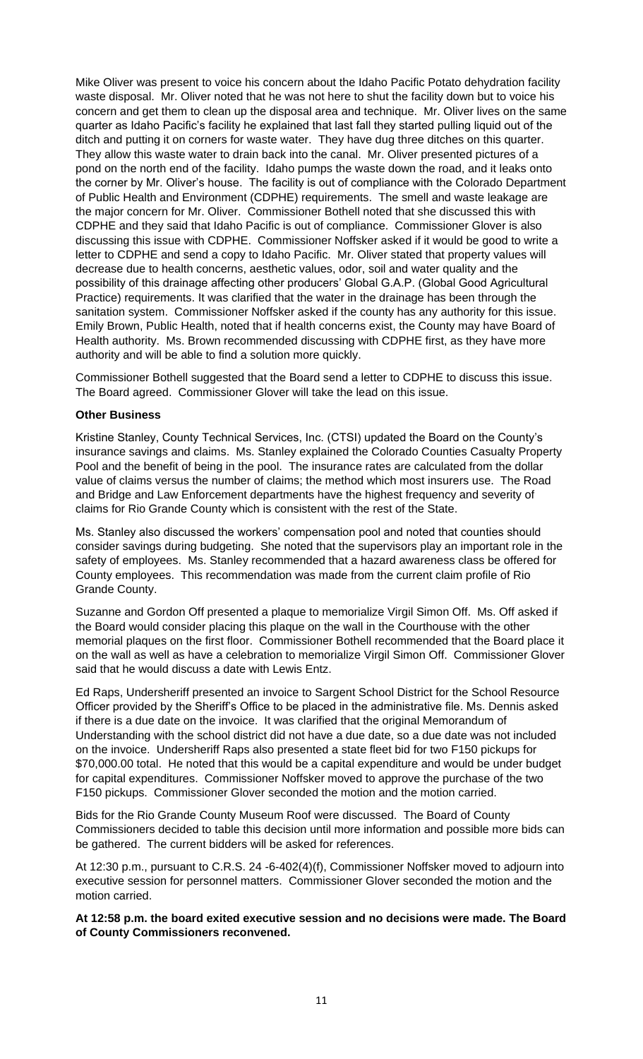Mike Oliver was present to voice his concern about the Idaho Pacific Potato dehydration facility waste disposal. Mr. Oliver noted that he was not here to shut the facility down but to voice his concern and get them to clean up the disposal area and technique. Mr. Oliver lives on the same quarter as Idaho Pacific's facility he explained that last fall they started pulling liquid out of the ditch and putting it on corners for waste water. They have dug three ditches on this quarter. They allow this waste water to drain back into the canal. Mr. Oliver presented pictures of a pond on the north end of the facility. Idaho pumps the waste down the road, and it leaks onto the corner by Mr. Oliver's house. The facility is out of compliance with the Colorado Department of Public Health and Environment (CDPHE) requirements. The smell and waste leakage are the major concern for Mr. Oliver. Commissioner Bothell noted that she discussed this with CDPHE and they said that Idaho Pacific is out of compliance. Commissioner Glover is also discussing this issue with CDPHE. Commissioner Noffsker asked if it would be good to write a letter to CDPHE and send a copy to Idaho Pacific. Mr. Oliver stated that property values will decrease due to health concerns, aesthetic values, odor, soil and water quality and the possibility of this drainage affecting other producers' Global G.A.P. (Global Good Agricultural Practice) requirements. It was clarified that the water in the drainage has been through the sanitation system. Commissioner Noffsker asked if the county has any authority for this issue. Emily Brown, Public Health, noted that if health concerns exist, the County may have Board of Health authority. Ms. Brown recommended discussing with CDPHE first, as they have more authority and will be able to find a solution more quickly.

Commissioner Bothell suggested that the Board send a letter to CDPHE to discuss this issue. The Board agreed. Commissioner Glover will take the lead on this issue.

### **Other Business**

Kristine Stanley, County Technical Services, Inc. (CTSI) updated the Board on the County's insurance savings and claims. Ms. Stanley explained the Colorado Counties Casualty Property Pool and the benefit of being in the pool. The insurance rates are calculated from the dollar value of claims versus the number of claims; the method which most insurers use. The Road and Bridge and Law Enforcement departments have the highest frequency and severity of claims for Rio Grande County which is consistent with the rest of the State.

Ms. Stanley also discussed the workers' compensation pool and noted that counties should consider savings during budgeting. She noted that the supervisors play an important role in the safety of employees. Ms. Stanley recommended that a hazard awareness class be offered for County employees. This recommendation was made from the current claim profile of Rio Grande County.

Suzanne and Gordon Off presented a plaque to memorialize Virgil Simon Off. Ms. Off asked if the Board would consider placing this plaque on the wall in the Courthouse with the other memorial plaques on the first floor. Commissioner Bothell recommended that the Board place it on the wall as well as have a celebration to memorialize Virgil Simon Off. Commissioner Glover said that he would discuss a date with Lewis Entz.

Ed Raps, Undersheriff presented an invoice to Sargent School District for the School Resource Officer provided by the Sheriff's Office to be placed in the administrative file. Ms. Dennis asked if there is a due date on the invoice. It was clarified that the original Memorandum of Understanding with the school district did not have a due date, so a due date was not included on the invoice. Undersheriff Raps also presented a state fleet bid for two F150 pickups for \$70,000.00 total. He noted that this would be a capital expenditure and would be under budget for capital expenditures. Commissioner Noffsker moved to approve the purchase of the two F150 pickups. Commissioner Glover seconded the motion and the motion carried.

Bids for the Rio Grande County Museum Roof were discussed. The Board of County Commissioners decided to table this decision until more information and possible more bids can be gathered. The current bidders will be asked for references.

At 12:30 p.m., pursuant to C.R.S. 24 -6-402(4)(f), Commissioner Noffsker moved to adjourn into executive session for personnel matters. Commissioner Glover seconded the motion and the motion carried.

**At 12:58 p.m. the board exited executive session and no decisions were made. The Board of County Commissioners reconvened.**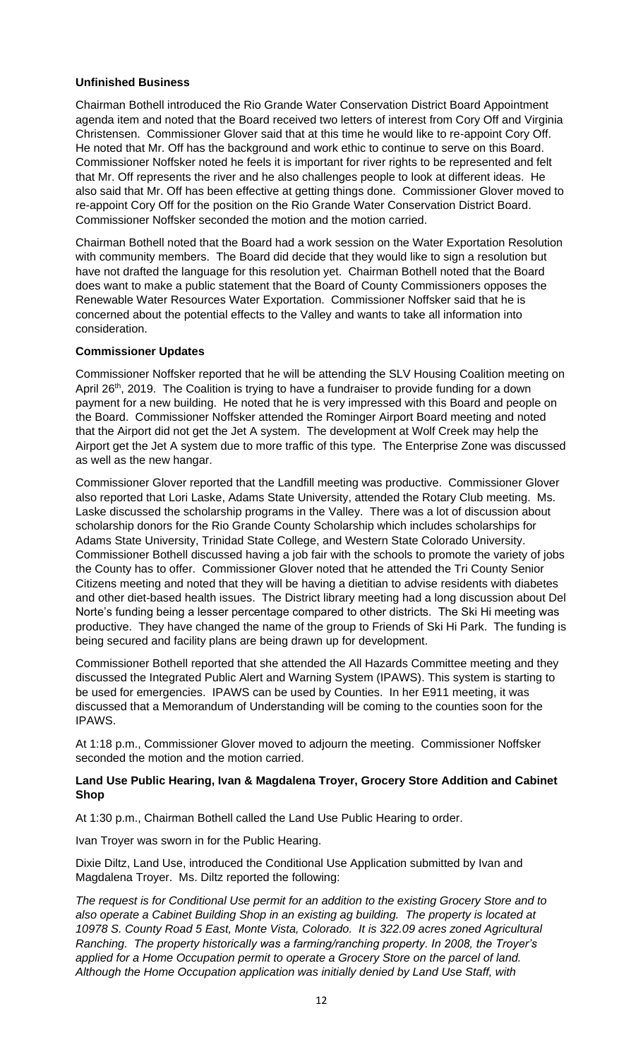## **Unfinished Business**

Chairman Bothell introduced the Rio Grande Water Conservation District Board Appointment agenda item and noted that the Board received two letters of interest from Cory Off and Virginia Christensen. Commissioner Glover said that at this time he would like to re-appoint Cory Off. He noted that Mr. Off has the background and work ethic to continue to serve on this Board. Commissioner Noffsker noted he feels it is important for river rights to be represented and felt that Mr. Off represents the river and he also challenges people to look at different ideas. He also said that Mr. Off has been effective at getting things done. Commissioner Glover moved to re-appoint Cory Off for the position on the Rio Grande Water Conservation District Board. Commissioner Noffsker seconded the motion and the motion carried.

Chairman Bothell noted that the Board had a work session on the Water Exportation Resolution with community members. The Board did decide that they would like to sign a resolution but have not drafted the language for this resolution yet. Chairman Bothell noted that the Board does want to make a public statement that the Board of County Commissioners opposes the Renewable Water Resources Water Exportation. Commissioner Noffsker said that he is concerned about the potential effects to the Valley and wants to take all information into consideration.

# **Commissioner Updates**

Commissioner Noffsker reported that he will be attending the SLV Housing Coalition meeting on April 26<sup>th</sup>, 2019. The Coalition is trying to have a fundraiser to provide funding for a down payment for a new building. He noted that he is very impressed with this Board and people on the Board. Commissioner Noffsker attended the Rominger Airport Board meeting and noted that the Airport did not get the Jet A system. The development at Wolf Creek may help the Airport get the Jet A system due to more traffic of this type. The Enterprise Zone was discussed as well as the new hangar.

Commissioner Glover reported that the Landfill meeting was productive. Commissioner Glover also reported that Lori Laske, Adams State University, attended the Rotary Club meeting. Ms. Laske discussed the scholarship programs in the Valley. There was a lot of discussion about scholarship donors for the Rio Grande County Scholarship which includes scholarships for Adams State University, Trinidad State College, and Western State Colorado University. Commissioner Bothell discussed having a job fair with the schools to promote the variety of jobs the County has to offer. Commissioner Glover noted that he attended the Tri County Senior Citizens meeting and noted that they will be having a dietitian to advise residents with diabetes and other diet-based health issues. The District library meeting had a long discussion about Del Norte's funding being a lesser percentage compared to other districts. The Ski Hi meeting was productive. They have changed the name of the group to Friends of Ski Hi Park. The funding is being secured and facility plans are being drawn up for development.

Commissioner Bothell reported that she attended the All Hazards Committee meeting and they discussed the Integrated Public Alert and Warning System (IPAWS). This system is starting to be used for emergencies. IPAWS can be used by Counties. In her E911 meeting, it was discussed that a Memorandum of Understanding will be coming to the counties soon for the IPAWS.

At 1:18 p.m., Commissioner Glover moved to adjourn the meeting. Commissioner Noffsker seconded the motion and the motion carried.

## **Land Use Public Hearing, Ivan & Magdalena Troyer, Grocery Store Addition and Cabinet Shop**

At 1:30 p.m., Chairman Bothell called the Land Use Public Hearing to order.

Ivan Troyer was sworn in for the Public Hearing.

Dixie Diltz, Land Use, introduced the Conditional Use Application submitted by Ivan and Magdalena Troyer. Ms. Diltz reported the following:

*The request is for Conditional Use permit for an addition to the existing Grocery Store and to also operate a Cabinet Building Shop in an existing ag building. The property is located at 10978 S. County Road 5 East, Monte Vista, Colorado. It is 322.09 acres zoned Agricultural Ranching. The property historically was a farming/ranching property. In 2008, the Troyer's applied for a Home Occupation permit to operate a Grocery Store on the parcel of land. Although the Home Occupation application was initially denied by Land Use Staff, with*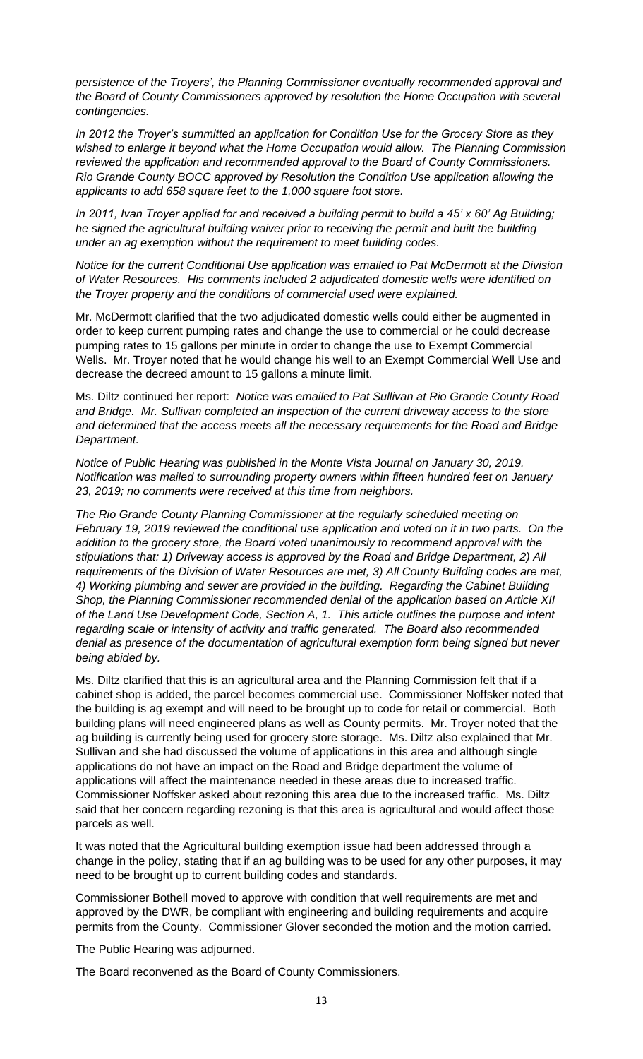*persistence of the Troyers', the Planning Commissioner eventually recommended approval and the Board of County Commissioners approved by resolution the Home Occupation with several contingencies.* 

*In 2012 the Troyer's summitted an application for Condition Use for the Grocery Store as they wished to enlarge it beyond what the Home Occupation would allow. The Planning Commission reviewed the application and recommended approval to the Board of County Commissioners. Rio Grande County BOCC approved by Resolution the Condition Use application allowing the applicants to add 658 square feet to the 1,000 square foot store.* 

*In 2011, Ivan Troyer applied for and received a building permit to build a 45' x 60' Ag Building; he signed the agricultural building waiver prior to receiving the permit and built the building under an ag exemption without the requirement to meet building codes.* 

*Notice for the current Conditional Use application was emailed to Pat McDermott at the Division of Water Resources. His comments included 2 adjudicated domestic wells were identified on the Troyer property and the conditions of commercial used were explained.* 

Mr. McDermott clarified that the two adjudicated domestic wells could either be augmented in order to keep current pumping rates and change the use to commercial or he could decrease pumping rates to 15 gallons per minute in order to change the use to Exempt Commercial Wells. Mr. Troyer noted that he would change his well to an Exempt Commercial Well Use and decrease the decreed amount to 15 gallons a minute limit.

Ms. Diltz continued her report: *Notice was emailed to Pat Sullivan at Rio Grande County Road and Bridge. Mr. Sullivan completed an inspection of the current driveway access to the store and determined that the access meets all the necessary requirements for the Road and Bridge Department.* 

*Notice of Public Hearing was published in the Monte Vista Journal on January 30, 2019. Notification was mailed to surrounding property owners within fifteen hundred feet on January 23, 2019; no comments were received at this time from neighbors.* 

*The Rio Grande County Planning Commissioner at the regularly scheduled meeting on February 19, 2019 reviewed the conditional use application and voted on it in two parts. On the addition to the grocery store, the Board voted unanimously to recommend approval with the stipulations that: 1) Driveway access is approved by the Road and Bridge Department, 2) All requirements of the Division of Water Resources are met, 3) All County Building codes are met, 4) Working plumbing and sewer are provided in the building. Regarding the Cabinet Building Shop, the Planning Commissioner recommended denial of the application based on Article XII of the Land Use Development Code, Section A, 1. This article outlines the purpose and intent regarding scale or intensity of activity and traffic generated. The Board also recommended denial as presence of the documentation of agricultural exemption form being signed but never being abided by.* 

Ms. Diltz clarified that this is an agricultural area and the Planning Commission felt that if a cabinet shop is added, the parcel becomes commercial use. Commissioner Noffsker noted that the building is ag exempt and will need to be brought up to code for retail or commercial. Both building plans will need engineered plans as well as County permits. Mr. Troyer noted that the ag building is currently being used for grocery store storage. Ms. Diltz also explained that Mr. Sullivan and she had discussed the volume of applications in this area and although single applications do not have an impact on the Road and Bridge department the volume of applications will affect the maintenance needed in these areas due to increased traffic. Commissioner Noffsker asked about rezoning this area due to the increased traffic. Ms. Diltz said that her concern regarding rezoning is that this area is agricultural and would affect those parcels as well.

It was noted that the Agricultural building exemption issue had been addressed through a change in the policy, stating that if an ag building was to be used for any other purposes, it may need to be brought up to current building codes and standards.

Commissioner Bothell moved to approve with condition that well requirements are met and approved by the DWR, be compliant with engineering and building requirements and acquire permits from the County. Commissioner Glover seconded the motion and the motion carried.

The Public Hearing was adjourned.

The Board reconvened as the Board of County Commissioners.